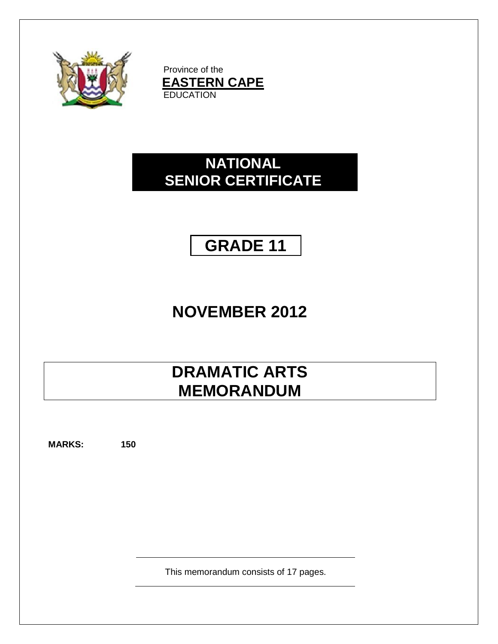

Province of the **EASTERN CAPE EDUCATION** 

# **NATIONAL SENIOR CERTIFICATE**

**GRADE 11**

# **NOVEMBER 2012**

# **DRAMATIC ARTS MEMORANDUM**

**MARKS: 150**

This memorandum consists of 17 pages.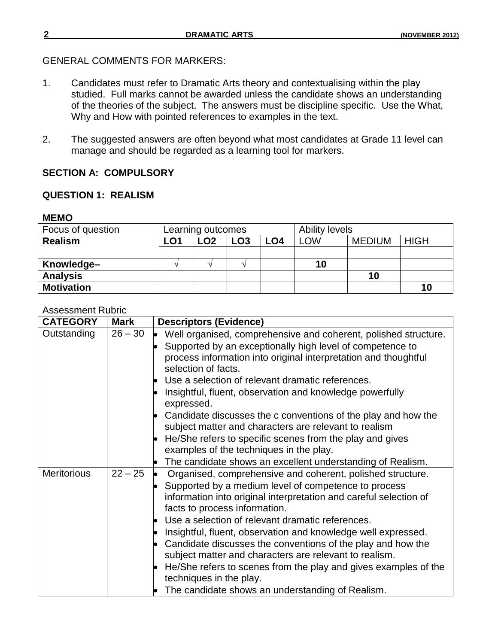# GENERAL COMMENTS FOR MARKERS:

- 1. Candidates must refer to Dramatic Arts theory and contextualising within the play studied. Full marks cannot be awarded unless the candidate shows an understanding of the theories of the subject. The answers must be discipline specific. Use the What, Why and How with pointed references to examples in the text.
- 2. The suggested answers are often beyond what most candidates at Grade 11 level can manage and should be regarded as a learning tool for markers.

# **SECTION A: COMPULSORY**

# **QUESTION 1: REALISM**

#### **MEMO**

| Focus of question | Learning outcomes |     |                 |                 | <b>Ability levels</b> |               |             |
|-------------------|-------------------|-----|-----------------|-----------------|-----------------------|---------------|-------------|
| <b>Realism</b>    | LO1               | LO2 | LO <sub>3</sub> | LO <sub>4</sub> | LOW                   | <b>MEDIUM</b> | <b>HIGH</b> |
|                   |                   |     |                 |                 |                       |               |             |
| Knowledge-        |                   |     |                 |                 | 10                    |               |             |
| <b>Analysis</b>   |                   |     |                 |                 |                       | 10            |             |
| <b>Motivation</b> |                   |     |                 |                 |                       |               | 10          |

#### Assessment Rubric

| <b>CATEGORY</b>    | <b>Mark</b> | <b>Descriptors (Evidence)</b>                                                                                                                                                                                                                                              |
|--------------------|-------------|----------------------------------------------------------------------------------------------------------------------------------------------------------------------------------------------------------------------------------------------------------------------------|
| Outstanding        | $26 - 30$   | Well organised, comprehensive and coherent, polished structure.<br>Supported by an exceptionally high level of competence to<br>process information into original interpretation and thoughtful<br>selection of facts.<br>Use a selection of relevant dramatic references. |
|                    |             | Insightful, fluent, observation and knowledge powerfully<br>expressed.                                                                                                                                                                                                     |
|                    |             | Candidate discusses the c conventions of the play and how the<br>subject matter and characters are relevant to realism                                                                                                                                                     |
|                    |             | He/She refers to specific scenes from the play and gives<br>examples of the techniques in the play.<br>The candidate shows an excellent understanding of Realism.                                                                                                          |
| <b>Meritorious</b> | $22 - 25$   | Organised, comprehensive and coherent, polished structure.<br>Supported by a medium level of competence to process<br>information into original interpretation and careful selection of<br>facts to process information.                                                   |
|                    |             | Use a selection of relevant dramatic references.<br>Insightful, fluent, observation and knowledge well expressed.<br>Candidate discusses the conventions of the play and how the<br>subject matter and characters are relevant to realism.                                 |
|                    |             | He/She refers to scenes from the play and gives examples of the<br>techniques in the play.<br>The candidate shows an understanding of Realism.                                                                                                                             |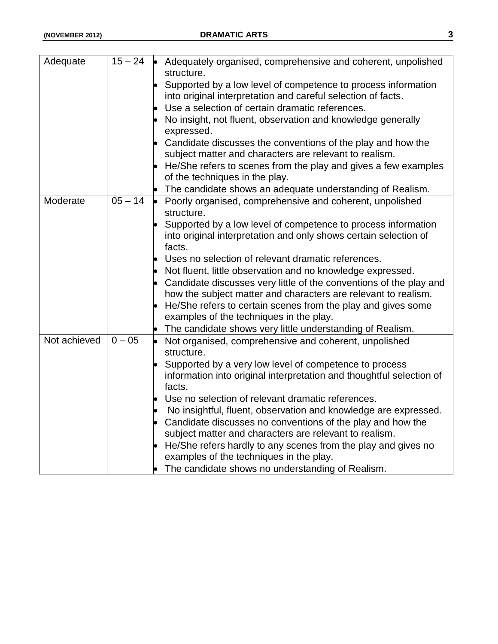| Adequate     | $15 - 24$ | $\bullet$ Adequately organised, comprehensive and coherent, unpolished<br>structure. |
|--------------|-----------|--------------------------------------------------------------------------------------|
|              |           | Supported by a low level of competence to process information                        |
|              |           | into original interpretation and careful selection of facts.                         |
|              |           | Use a selection of certain dramatic references.                                      |
|              |           | No insight, not fluent, observation and knowledge generally<br>expressed.            |
|              |           | Candidate discusses the conventions of the play and how the                          |
|              |           | subject matter and characters are relevant to realism.                               |
|              |           | He/She refers to scenes from the play and gives a few examples                       |
|              |           | of the techniques in the play.                                                       |
|              |           | The candidate shows an adequate understanding of Realism.                            |
| Moderate     | $05 - 14$ | Poorly organised, comprehensive and coherent, unpolished                             |
|              |           | structure.                                                                           |
|              |           | Supported by a low level of competence to process information                        |
|              |           | into original interpretation and only shows certain selection of                     |
|              |           | facts.                                                                               |
|              |           | Uses no selection of relevant dramatic references.                                   |
|              |           | Not fluent, little observation and no knowledge expressed.                           |
|              |           | Candidate discusses very little of the conventions of the play and                   |
|              |           | how the subject matter and characters are relevant to realism.                       |
|              |           | He/She refers to certain scenes from the play and gives some                         |
|              |           | examples of the techniques in the play.                                              |
|              |           | The candidate shows very little understanding of Realism.                            |
| Not achieved | $0 - 05$  | Not organised, comprehensive and coherent, unpolished                                |
|              |           | structure.                                                                           |
|              |           | Supported by a very low level of competence to process                               |
|              |           | information into original interpretation and thoughtful selection of                 |
|              |           | facts.                                                                               |
|              |           | Use no selection of relevant dramatic references.                                    |
|              |           | No insightful, fluent, observation and knowledge are expressed.                      |
|              |           | Candidate discusses no conventions of the play and how the                           |
|              |           | subject matter and characters are relevant to realism.                               |
|              |           | He/She refers hardly to any scenes from the play and gives no                        |
|              |           | examples of the techniques in the play.                                              |
|              |           | The candidate shows no understanding of Realism.                                     |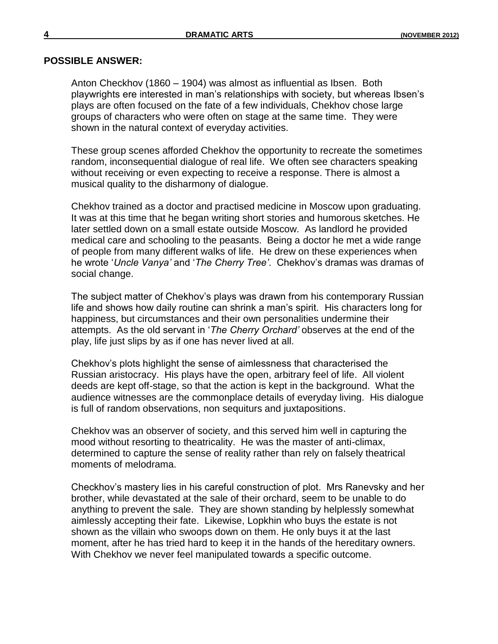#### **POSSIBLE ANSWER:**

Anton Checkhov (1860 – 1904) was almost as influential as Ibsen. Both playwrights ere interested in man"s relationships with society, but whereas Ibsen"s plays are often focused on the fate of a few individuals, Chekhov chose large groups of characters who were often on stage at the same time. They were shown in the natural context of everyday activities.

These group scenes afforded Chekhov the opportunity to recreate the sometimes random, inconsequential dialogue of real life. We often see characters speaking without receiving or even expecting to receive a response. There is almost a musical quality to the disharmony of dialogue.

Chekhov trained as a doctor and practised medicine in Moscow upon graduating. It was at this time that he began writing short stories and humorous sketches. He later settled down on a small estate outside Moscow. As landlord he provided medical care and schooling to the peasants. Being a doctor he met a wide range of people from many different walks of life. He drew on these experiences when he wrote "*Uncle Vanya"* and "*The Cherry Tree"*. Chekhov"s dramas was dramas of social change.

The subject matter of Chekhov's plays was drawn from his contemporary Russian life and shows how daily routine can shrink a man"s spirit. His characters long for happiness, but circumstances and their own personalities undermine their attempts. As the old servant in "*The Cherry Orchard"* observes at the end of the play, life just slips by as if one has never lived at all.

Chekhov"s plots highlight the sense of aimlessness that characterised the Russian aristocracy. His plays have the open, arbitrary feel of life. All violent deeds are kept off-stage, so that the action is kept in the background. What the audience witnesses are the commonplace details of everyday living. His dialogue is full of random observations, non sequiturs and juxtapositions.

Chekhov was an observer of society, and this served him well in capturing the mood without resorting to theatricality. He was the master of anti-climax, determined to capture the sense of reality rather than rely on falsely theatrical moments of melodrama.

Checkhov"s mastery lies in his careful construction of plot. Mrs Ranevsky and her brother, while devastated at the sale of their orchard, seem to be unable to do anything to prevent the sale. They are shown standing by helplessly somewhat aimlessly accepting their fate. Likewise, Lopkhin who buys the estate is not shown as the villain who swoops down on them. He only buys it at the last moment, after he has tried hard to keep it in the hands of the hereditary owners. With Chekhov we never feel manipulated towards a specific outcome.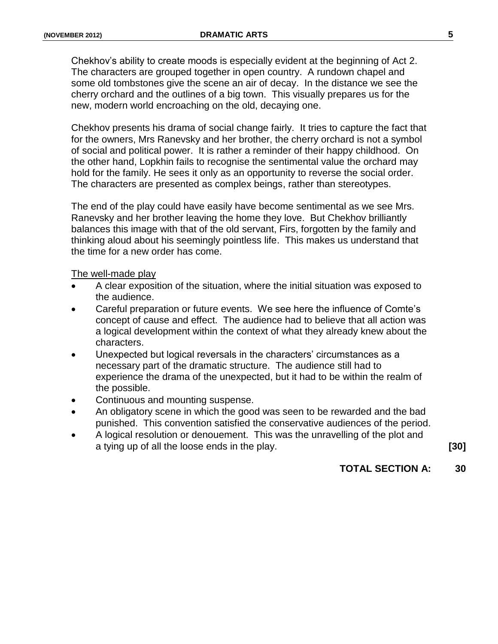Chekhov"s ability to create moods is especially evident at the beginning of Act 2. The characters are grouped together in open country. A rundown chapel and some old tombstones give the scene an air of decay. In the distance we see the cherry orchard and the outlines of a big town. This visually prepares us for the new, modern world encroaching on the old, decaying one.

Chekhov presents his drama of social change fairly. It tries to capture the fact that for the owners, Mrs Ranevsky and her brother, the cherry orchard is not a symbol of social and political power. It is rather a reminder of their happy childhood. On the other hand, Lopkhin fails to recognise the sentimental value the orchard may hold for the family. He sees it only as an opportunity to reverse the social order. The characters are presented as complex beings, rather than stereotypes.

The end of the play could have easily have become sentimental as we see Mrs. Ranevsky and her brother leaving the home they love. But Chekhov brilliantly balances this image with that of the old servant, Firs, forgotten by the family and thinking aloud about his seemingly pointless life. This makes us understand that the time for a new order has come.

#### The well-made play

- A clear exposition of the situation, where the initial situation was exposed to the audience.
- Careful preparation or future events. We see here the influence of Comte"s concept of cause and effect. The audience had to believe that all action was a logical development within the context of what they already knew about the characters.
- Unexpected but logical reversals in the characters" circumstances as a necessary part of the dramatic structure. The audience still had to experience the drama of the unexpected, but it had to be within the realm of the possible.
- Continuous and mounting suspense.
- An obligatory scene in which the good was seen to be rewarded and the bad punished. This convention satisfied the conservative audiences of the period.
- A logical resolution or denouement. This was the unravelling of the plot and a tying up of all the loose ends in the play. **[30]**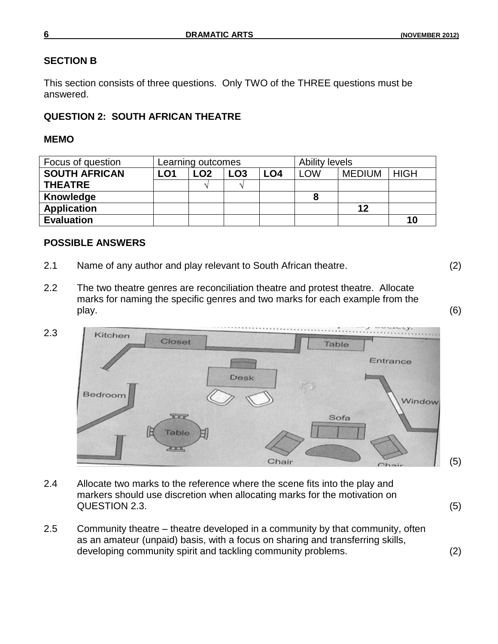# **SECTION B**

This section consists of three questions. Only TWO of the THREE questions must be answered.

# **QUESTION 2: SOUTH AFRICAN THEATRE**

# **MEMO**

| Focus of question    | Learning outcomes |     |                 |     | Ability levels |               |             |
|----------------------|-------------------|-----|-----------------|-----|----------------|---------------|-------------|
| <b>SOUTH AFRICAN</b> | LO1               | LO2 | LO <sub>3</sub> | LO4 | <b>LOW</b>     | <b>MEDIUM</b> | <b>HIGH</b> |
| <b>THEATRE</b>       |                   |     |                 |     |                |               |             |
| Knowledge            |                   |     |                 |     |                |               |             |
| <b>Application</b>   |                   |     |                 |     |                | 12            |             |
| <b>Evaluation</b>    |                   |     |                 |     |                |               | 10          |

# **POSSIBLE ANSWERS**

- 2.1 Name of any author and play relevant to South African theatre. (2)
- 
- 2.2 The two theatre genres are reconciliation theatre and protest theatre. Allocate marks for naming the specific genres and two marks for each example from the play. (6)



- 2.4 Allocate two marks to the reference where the scene fits into the play and markers should use discretion when allocating marks for the motivation on QUESTION 2.3. (5)
- 2.5 Community theatre theatre developed in a community by that community, often as an amateur (unpaid) basis, with a focus on sharing and transferring skills, developing community spirit and tackling community problems. (2)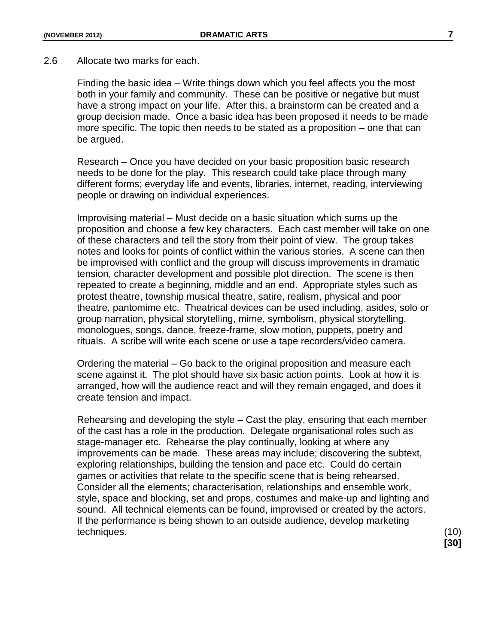#### 2.6 Allocate two marks for each.

Finding the basic idea – Write things down which you feel affects you the most both in your family and community. These can be positive or negative but must have a strong impact on your life. After this, a brainstorm can be created and a group decision made. Once a basic idea has been proposed it needs to be made more specific. The topic then needs to be stated as a proposition – one that can be argued.

Research – Once you have decided on your basic proposition basic research needs to be done for the play. This research could take place through many different forms; everyday life and events, libraries, internet, reading, interviewing people or drawing on individual experiences.

Improvising material – Must decide on a basic situation which sums up the proposition and choose a few key characters. Each cast member will take on one of these characters and tell the story from their point of view. The group takes notes and looks for points of conflict within the various stories. A scene can then be improvised with conflict and the group will discuss improvements in dramatic tension, character development and possible plot direction. The scene is then repeated to create a beginning, middle and an end. Appropriate styles such as protest theatre, township musical theatre, satire, realism, physical and poor theatre, pantomime etc. Theatrical devices can be used including, asides, solo or group narration, physical storytelling, mime, symbolism, physical storytelling, monologues, songs, dance, freeze-frame, slow motion, puppets, poetry and rituals. A scribe will write each scene or use a tape recorders/video camera.

Ordering the material – Go back to the original proposition and measure each scene against it. The plot should have six basic action points. Look at how it is arranged, how will the audience react and will they remain engaged, and does it create tension and impact.

Rehearsing and developing the style – Cast the play, ensuring that each member of the cast has a role in the production. Delegate organisational roles such as stage-manager etc. Rehearse the play continually, looking at where any improvements can be made. These areas may include; discovering the subtext, exploring relationships, building the tension and pace etc. Could do certain games or activities that relate to the specific scene that is being rehearsed. Consider all the elements; characterisation, relationships and ensemble work, style, space and blocking, set and props, costumes and make-up and lighting and sound. All technical elements can be found, improvised or created by the actors. If the performance is being shown to an outside audience, develop marketing techniques. (10)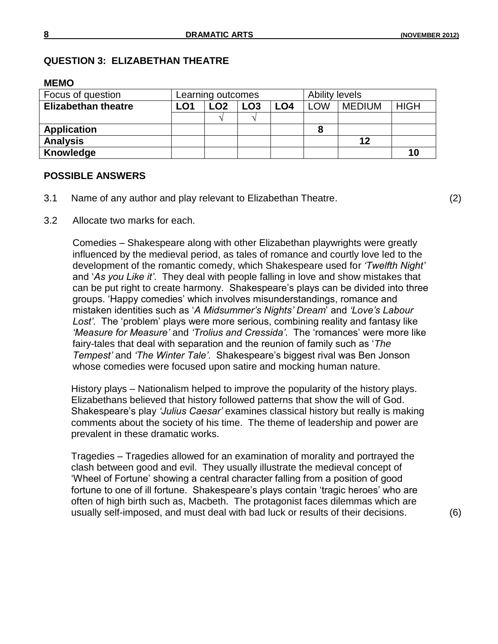#### **QUESTION 3: ELIZABETHAN THEATRE**

#### **MEMO**

| Focus of question          | Learning outcomes |                 |     | Ability levels |            |               |             |
|----------------------------|-------------------|-----------------|-----|----------------|------------|---------------|-------------|
| <b>Elizabethan theatre</b> | LO1               | LO <sub>2</sub> | ∟O3 | LO4            | <b>LOW</b> | <b>MEDIUM</b> | <b>HIGH</b> |
|                            |                   |                 |     |                |            |               |             |
| <b>Application</b>         |                   |                 |     |                |            |               |             |
| <b>Analysis</b>            |                   |                 |     |                |            | 12            |             |
| Knowledge                  |                   |                 |     |                |            |               | 10          |

#### **POSSIBLE ANSWERS**

3.1 Name of any author and play relevant to Elizabethan Theatre. (2)

3.2 Allocate two marks for each.

Comedies – Shakespeare along with other Elizabethan playwrights were greatly influenced by the medieval period, as tales of romance and courtly love led to the development of the romantic comedy, which Shakespeare used for *"Twelfth Night"* and "*As you Like it"*. They deal with people falling in love and show mistakes that can be put right to create harmony. Shakespeare's plays can be divided into three groups. "Happy comedies" which involves misunderstandings, romance and mistaken identities such as "*A Midsummer"s Nights" Dream*" and *"Love"s Labour*  Lost'. The 'problem' plays were more serious, combining reality and fantasy like *"Measure for Measure"* and *"Trolius and Cressida"*. The "romances" were more like fairy-tales that deal with separation and the reunion of family such as "*The Tempest"* and *"The Winter Tale"*. Shakespeare"s biggest rival was Ben Jonson whose comedies were focused upon satire and mocking human nature.

History plays – Nationalism helped to improve the popularity of the history plays. Elizabethans believed that history followed patterns that show the will of God. Shakespeare"s play *"Julius Caesar"* examines classical history but really is making comments about the society of his time. The theme of leadership and power are prevalent in these dramatic works.

Tragedies – Tragedies allowed for an examination of morality and portrayed the clash between good and evil. They usually illustrate the medieval concept of "Wheel of Fortune" showing a central character falling from a position of good fortune to one of ill fortune. Shakespeare's plays contain 'tragic heroes' who are often of high birth such as, Macbeth. The protagonist faces dilemmas which are usually self-imposed, and must deal with bad luck or results of their decisions. (6)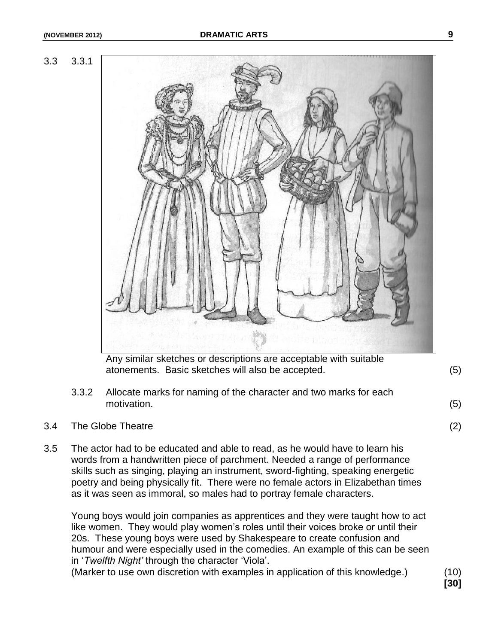



atonements. Basic sketches will also be accepted. (5)

- 3.3.2 Allocate marks for naming of the character and two marks for each motivation. (5)
	-
- 3.4 The Globe Theatre (2)
- 3.5 The actor had to be educated and able to read, as he would have to learn his words from a handwritten piece of parchment. Needed a range of performance skills such as singing, playing an instrument, sword-fighting, speaking energetic poetry and being physically fit. There were no female actors in Elizabethan times as it was seen as immoral, so males had to portray female characters.

Young boys would join companies as apprentices and they were taught how to act like women. They would play women"s roles until their voices broke or until their 20s. These young boys were used by Shakespeare to create confusion and humour and were especially used in the comedies. An example of this can be seen in "*Twelfth Night"* through the character "Viola".

(Marker to use own discretion with examples in application of this knowledge.) (10)

**[30]**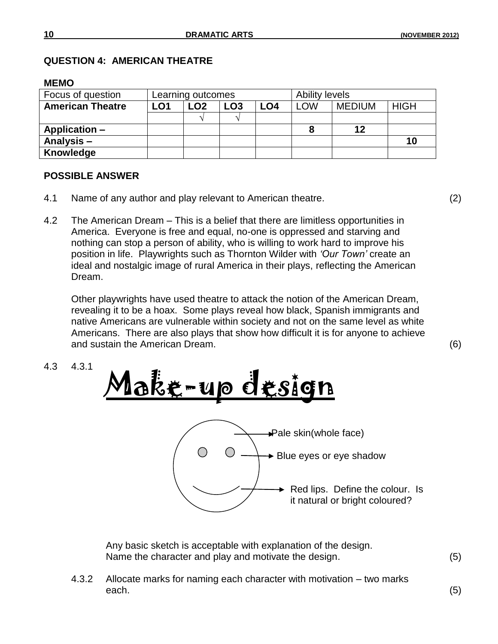## **QUESTION 4: AMERICAN THEATRE**

#### **MEMO**

| Focus of question       | Learning outcomes |                 |                 |     | Ability levels |               |             |
|-------------------------|-------------------|-----------------|-----------------|-----|----------------|---------------|-------------|
| <b>American Theatre</b> | LO1               | LO <sub>2</sub> | LO <sub>3</sub> | LO4 | <b>LOW</b>     | <b>MEDIUM</b> | <b>HIGH</b> |
|                         |                   |                 |                 |     |                |               |             |
| Application –           |                   |                 |                 |     |                | 12            |             |
| Analysis-               |                   |                 |                 |     |                |               | 10          |
| Knowledge               |                   |                 |                 |     |                |               |             |

### **POSSIBLE ANSWER**

- 4.1 Name of any author and play relevant to American theatre. (2)
- 4.2 The American Dream This is a belief that there are limitless opportunities in America. Everyone is free and equal, no-one is oppressed and starving and nothing can stop a person of ability, who is willing to work hard to improve his position in life. Playwrights such as Thornton Wilder with *"Our Town"* create an ideal and nostalgic image of rural America in their plays, reflecting the American Dream.

Other playwrights have used theatre to attack the notion of the American Dream, revealing it to be a hoax. Some plays reveal how black, Spanish immigrants and native Americans are vulnerable within society and not on the same level as white Americans. There are also plays that show how difficult it is for anyone to achieve and sustain the American Dream. (6)

4.3 4.3.1



Any basic sketch is acceptable with explanation of the design. Name the character and play and motivate the design. (5)

4.3.2 Allocate marks for naming each character with motivation – two marks each. (5)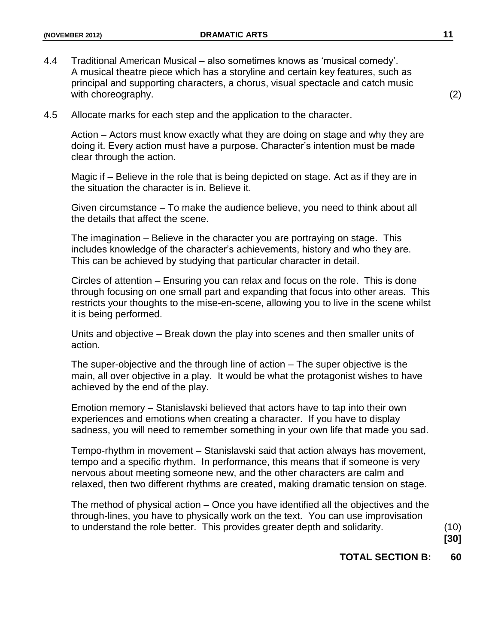4.4 Traditional American Musical – also sometimes knows as "musical comedy". A musical theatre piece which has a storyline and certain key features, such as principal and supporting characters, a chorus, visual spectacle and catch music with choreography. (2) (2)

4.5 Allocate marks for each step and the application to the character.

Action – Actors must know exactly what they are doing on stage and why they are doing it. Every action must have a purpose. Character"s intention must be made clear through the action.

Magic if – Believe in the role that is being depicted on stage. Act as if they are in the situation the character is in. Believe it.

Given circumstance – To make the audience believe, you need to think about all the details that affect the scene.

The imagination – Believe in the character you are portraying on stage. This includes knowledge of the character"s achievements, history and who they are. This can be achieved by studying that particular character in detail.

Circles of attention – Ensuring you can relax and focus on the role. This is done through focusing on one small part and expanding that focus into other areas. This restricts your thoughts to the mise-en-scene, allowing you to live in the scene whilst it is being performed.

Units and objective – Break down the play into scenes and then smaller units of action.

The super-objective and the through line of action – The super objective is the main, all over objective in a play. It would be what the protagonist wishes to have achieved by the end of the play.

Emotion memory – Stanislavski believed that actors have to tap into their own experiences and emotions when creating a character. If you have to display sadness, you will need to remember something in your own life that made you sad.

Tempo-rhythm in movement – Stanislavski said that action always has movement, tempo and a specific rhythm. In performance, this means that if someone is very nervous about meeting someone new, and the other characters are calm and relaxed, then two different rhythms are created, making dramatic tension on stage.

The method of physical action – Once you have identified all the objectives and the through-lines, you have to physically work on the text. You can use improvisation to understand the role better. This provides greater depth and solidarity. (10)

**[30]**

# **TOTAL SECTION B: 60**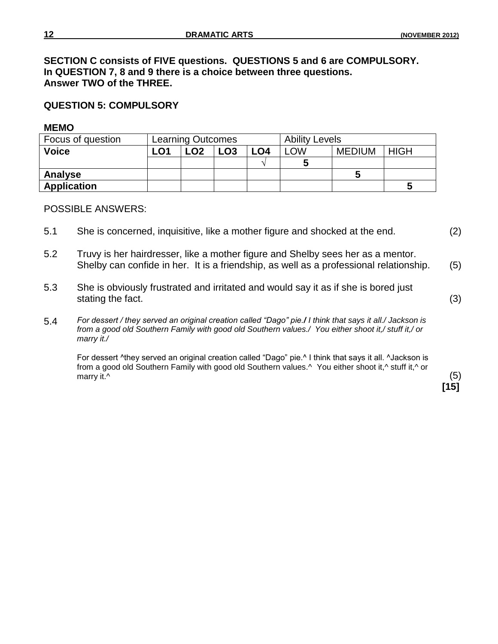**SECTION C consists of FIVE questions. QUESTIONS 5 and 6 are COMPULSORY. In QUESTION 7, 8 and 9 there is a choice between three questions. Answer TWO of the THREE.**

### **QUESTION 5: COMPULSORY**

#### **MEMO**

| Focus of question  | <b>Learning Outcomes</b> |     |                 |     | <b>Ability Levels</b> |               |             |
|--------------------|--------------------------|-----|-----------------|-----|-----------------------|---------------|-------------|
| <b>Voice</b>       | LO1                      | LO2 | LO <sub>3</sub> | ∟04 | LOW                   | <b>MEDIUM</b> | <b>HIGH</b> |
|                    |                          |     |                 |     |                       |               |             |
| Analyse            |                          |     |                 |     |                       |               |             |
| <b>Application</b> |                          |     |                 |     |                       |               |             |

#### POSSIBLE ANSWERS:

- 5.1 She is concerned, inquisitive, like a mother figure and shocked at the end. (2)
- 5.2 Truvy is her hairdresser, like a mother figure and Shelby sees her as a mentor. Shelby can confide in her. It is a friendship, as well as a professional relationship. (5)
- 5.3 She is obviously frustrated and irritated and would say it as if she is bored just stating the fact. (3)
- 5.4 *For dessert / they served an original creation called "Dago" pie./ I think that says it all./ Jackson is from a good old Southern Family with good old Southern values./ You either shoot it,/ stuff it,/ or marry it./*

For dessert ^they served an original creation called "Dago" pie.^ I think that says it all. ^Jackson is from a good old Southern Family with good old Southern values.^ You either shoot it,^ stuff it,^ or marry it. $\wedge$  (5)

**[15]**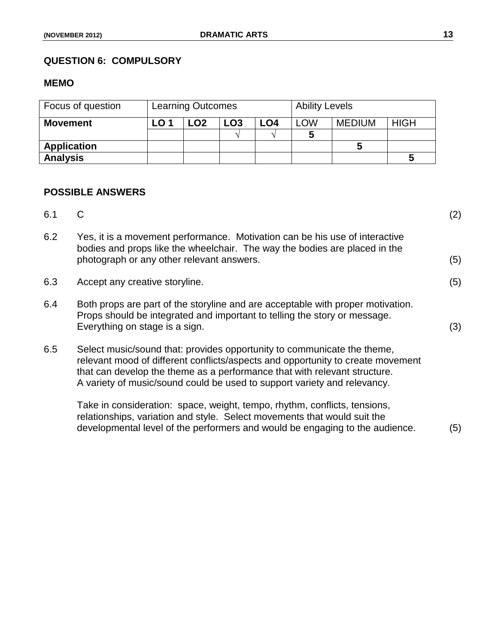# **QUESTION 6: COMPULSORY**

# **MEMO**

| Focus of question  | <b>Learning Outcomes</b> |      |     | <b>Ability Levels</b> |            |               |             |
|--------------------|--------------------------|------|-----|-----------------------|------------|---------------|-------------|
| <b>Movement</b>    | LO 1                     | ∟02∶ | LO3 | LO <sub>4</sub>       | <b>LOW</b> | <b>MEDIUM</b> | <b>HIGH</b> |
|                    |                          |      |     |                       |            |               |             |
| <b>Application</b> |                          |      |     |                       |            |               |             |
| <b>Analysis</b>    |                          |      |     |                       |            |               |             |

# **POSSIBLE ANSWERS**

| 6.1 | С                                                                                                                                                                                                                                                                                                                   | (2) |
|-----|---------------------------------------------------------------------------------------------------------------------------------------------------------------------------------------------------------------------------------------------------------------------------------------------------------------------|-----|
| 6.2 | Yes, it is a movement performance. Motivation can be his use of interactive<br>bodies and props like the wheelchair. The way the bodies are placed in the<br>photograph or any other relevant answers.                                                                                                              | (5) |
| 6.3 | Accept any creative storyline.                                                                                                                                                                                                                                                                                      | (5) |
| 6.4 | Both props are part of the storyline and are acceptable with proper motivation.<br>Props should be integrated and important to telling the story or message.<br>Everything on stage is a sign.                                                                                                                      | (3) |
| 6.5 | Select music/sound that: provides opportunity to communicate the theme,<br>relevant mood of different conflicts/aspects and opportunity to create movement<br>that can develop the theme as a performance that with relevant structure.<br>A variety of music/sound could be used to support variety and relevancy. |     |
|     | Take in consideration: space, weight, tempo, rhythm, conflicts, tensions,<br>relationships, variation and style. Select movements that would suit the<br>developmental level of the performers and would be engaging to the audience.                                                                               | (5) |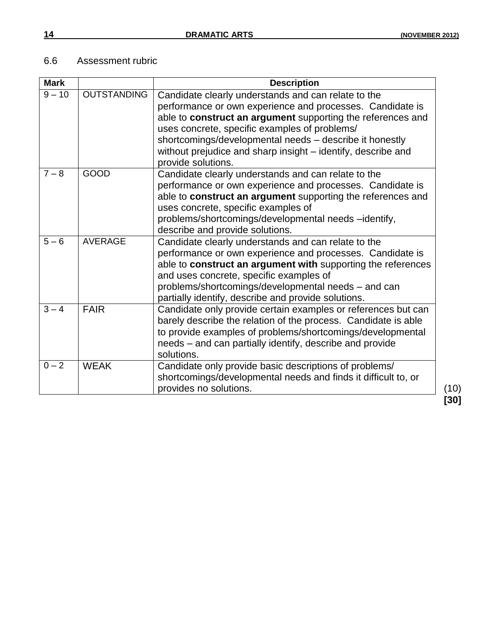# 6.6 Assessment rubric

| <b>Mark</b> |                    | <b>Description</b>                                                                                                                                                                                                                                                                                                                                                                |                |
|-------------|--------------------|-----------------------------------------------------------------------------------------------------------------------------------------------------------------------------------------------------------------------------------------------------------------------------------------------------------------------------------------------------------------------------------|----------------|
| $9 - 10$    | <b>OUTSTANDING</b> | Candidate clearly understands and can relate to the<br>performance or own experience and processes. Candidate is<br>able to construct an argument supporting the references and<br>uses concrete, specific examples of problems/<br>shortcomings/developmental needs - describe it honestly<br>without prejudice and sharp insight - identify, describe and<br>provide solutions. |                |
| $7 - 8$     | <b>GOOD</b>        | Candidate clearly understands and can relate to the<br>performance or own experience and processes. Candidate is<br>able to construct an argument supporting the references and<br>uses concrete, specific examples of<br>problems/shortcomings/developmental needs -identify,<br>describe and provide solutions.                                                                 |                |
| $5 - 6$     | <b>AVERAGE</b>     | Candidate clearly understands and can relate to the<br>performance or own experience and processes. Candidate is<br>able to construct an argument with supporting the references<br>and uses concrete, specific examples of<br>problems/shortcomings/developmental needs - and can<br>partially identify, describe and provide solutions.                                         |                |
| $3 - 4$     | <b>FAIR</b>        | Candidate only provide certain examples or references but can<br>barely describe the relation of the process. Candidate is able<br>to provide examples of problems/shortcomings/developmental<br>needs – and can partially identify, describe and provide<br>solutions.                                                                                                           |                |
| $0 - 2$     | <b>WEAK</b>        | Candidate only provide basic descriptions of problems/<br>shortcomings/developmental needs and finds it difficult to, or<br>provides no solutions.                                                                                                                                                                                                                                | (10)<br>$[30]$ |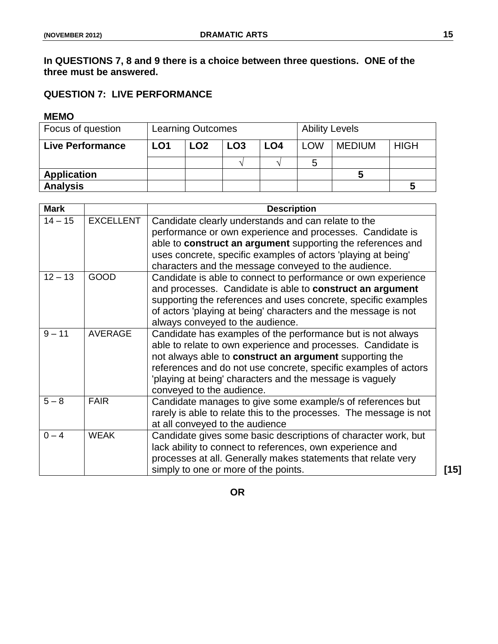# **In QUESTIONS 7, 8 and 9 there is a choice between three questions. ONE of the three must be answered.**

# **QUESTION 7: LIVE PERFORMANCE**

# **MEMO**

| Focus of question       | <b>Learning Outcomes</b> |     |                 | <b>Ability Levels</b> |            |               |             |
|-------------------------|--------------------------|-----|-----------------|-----------------------|------------|---------------|-------------|
| <b>Live Performance</b> | LO <sub>1</sub>          | LO2 | LO <sub>3</sub> | LO4                   | <b>LOW</b> | <b>MEDIUM</b> | <b>HIGH</b> |
|                         |                          |     |                 |                       | 5          |               |             |
| <b>Application</b>      |                          |     |                 |                       |            |               |             |
| <b>Analysis</b>         |                          |     |                 |                       |            |               |             |

| <b>Mark</b> |                  | <b>Description</b>                                                                                                                                       |
|-------------|------------------|----------------------------------------------------------------------------------------------------------------------------------------------------------|
| $14 - 15$   | <b>EXCELLENT</b> | Candidate clearly understands and can relate to the<br>performance or own experience and processes. Candidate is                                         |
|             |                  | able to construct an argument supporting the references and                                                                                              |
|             |                  | uses concrete, specific examples of actors 'playing at being'                                                                                            |
|             |                  | characters and the message conveyed to the audience.                                                                                                     |
| $12 - 13$   | <b>GOOD</b>      | Candidate is able to connect to performance or own experience<br>and processes. Candidate is able to construct an argument                               |
|             |                  | supporting the references and uses concrete, specific examples                                                                                           |
|             |                  | of actors 'playing at being' characters and the message is not                                                                                           |
|             |                  | always conveyed to the audience.                                                                                                                         |
| $9 - 11$    | <b>AVERAGE</b>   | Candidate has examples of the performance but is not always<br>able to relate to own experience and processes. Candidate is                              |
|             |                  | not always able to construct an argument supporting the                                                                                                  |
|             |                  | references and do not use concrete, specific examples of actors<br>'playing at being' characters and the message is vaguely<br>conveyed to the audience. |
| $5 - 8$     | <b>FAIR</b>      | Candidate manages to give some example/s of references but<br>rarely is able to relate this to the processes. The message is not                         |
|             |                  | at all conveyed to the audience                                                                                                                          |
| $0 - 4$     | <b>WEAK</b>      | Candidate gives some basic descriptions of character work, but<br>lack ability to connect to references, own experience and                              |
|             |                  | processes at all. Generally makes statements that relate very                                                                                            |
|             |                  | simply to one or more of the points.                                                                                                                     |

**OR**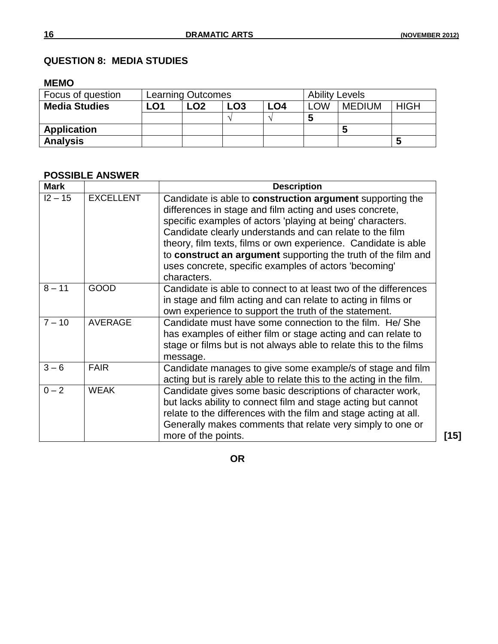# **QUESTION 8: MEDIA STUDIES**

#### **MEMO**

| Focus of question    | <b>Learning Outcomes</b> |                 |                 |     | <b>Ability Levels</b> |               |             |
|----------------------|--------------------------|-----------------|-----------------|-----|-----------------------|---------------|-------------|
| <b>Media Studies</b> | -01                      | LO <sub>2</sub> | LO <sub>3</sub> | LO4 | LOW                   | <b>MEDIUM</b> | <b>HIGH</b> |
|                      |                          |                 |                 |     |                       |               |             |
| <b>Application</b>   |                          |                 |                 |     |                       |               |             |
| <b>Analysis</b>      |                          |                 |                 |     |                       |               |             |

# **POSSIBLE ANSWER**

| <b>Mark</b> |                  | <b>Description</b>                                                                                                                                                                                                                                                                                                                                                                                                                                        |  |  |  |  |
|-------------|------------------|-----------------------------------------------------------------------------------------------------------------------------------------------------------------------------------------------------------------------------------------------------------------------------------------------------------------------------------------------------------------------------------------------------------------------------------------------------------|--|--|--|--|
| $12 - 15$   | <b>EXCELLENT</b> | Candidate is able to construction argument supporting the<br>differences in stage and film acting and uses concrete,<br>specific examples of actors 'playing at being' characters.<br>Candidate clearly understands and can relate to the film<br>theory, film texts, films or own experience. Candidate is able<br>to construct an argument supporting the truth of the film and<br>uses concrete, specific examples of actors 'becoming'<br>characters. |  |  |  |  |
| $8 - 11$    | <b>GOOD</b>      | Candidate is able to connect to at least two of the differences<br>in stage and film acting and can relate to acting in films or<br>own experience to support the truth of the statement.                                                                                                                                                                                                                                                                 |  |  |  |  |
| $7 - 10$    | <b>AVERAGE</b>   | Candidate must have some connection to the film. He/ She<br>has examples of either film or stage acting and can relate to<br>stage or films but is not always able to relate this to the films<br>message.                                                                                                                                                                                                                                                |  |  |  |  |
| $3 - 6$     | <b>FAIR</b>      | Candidate manages to give some example/s of stage and film<br>acting but is rarely able to relate this to the acting in the film.                                                                                                                                                                                                                                                                                                                         |  |  |  |  |
| $0 - 2$     | <b>WEAK</b>      | Candidate gives some basic descriptions of character work,<br>but lacks ability to connect film and stage acting but cannot<br>relate to the differences with the film and stage acting at all.<br>Generally makes comments that relate very simply to one or<br>more of the points.                                                                                                                                                                      |  |  |  |  |